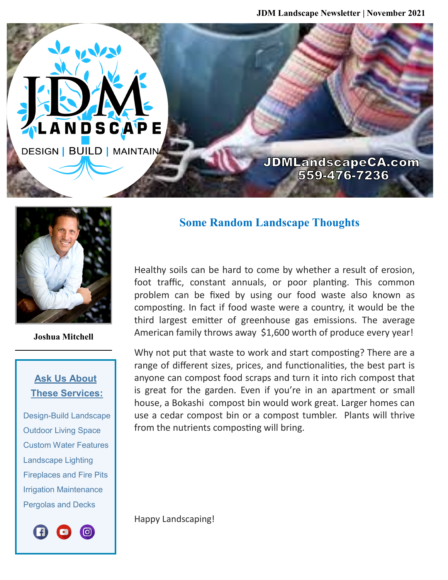**JDMLandscapeCA.com** 559-476-7236



**AND** 

LANDSCAPE

**DESIGN | BUILD | MAINTAIN** 

**Joshua Mitchell**

## **Ask Us About These Services:**

 Design-Build Landscape Outdoor Living Space Custom Water Features Landscape Lighting Fireplaces and Fire Pits Irrigation Maintenance Pergolas and Decks



## **Some Random Landscape Thoughts**

Healthy soils can be hard to come by whether a result of erosion, foot traffic, constant annuals, or poor planting. This common problem can be fixed by using our food waste also known as composting. In fact if food waste were a country, it would be the third largest emitter of greenhouse gas emissions. The average American family throws away \$1,600 worth of produce every year!

Why not put that waste to work and start composting? There are a range of different sizes, prices, and functionalities, the best part is anyone can compost food scraps and turn it into rich compost that is great for the garden. Even if you're in an apartment or small house, a Bokashi compost bin would work great. Larger homes can use a cedar compost bin or a compost tumbler. Plants will thrive from the nutrients composting will bring.

Happy Landscaping!